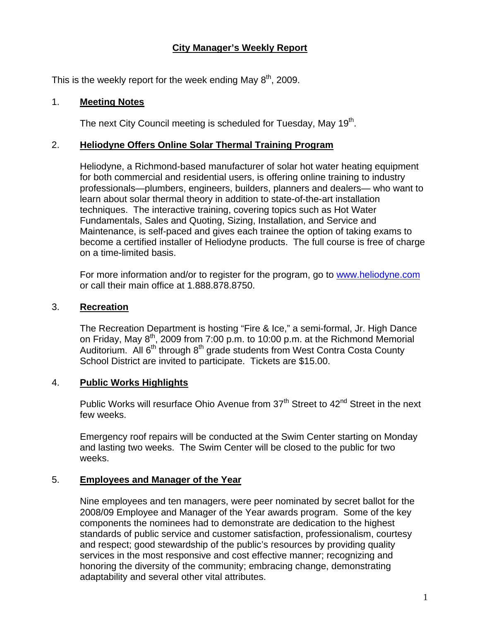# **City Manager's Weekly Report**

This is the weekly report for the week ending May  $8^{th}$ , 2009.

## 1. **Meeting Notes**

The next City Council meeting is scheduled for Tuesday, May 19<sup>th</sup>.

## 2. **Heliodyne Offers Online Solar Thermal Training Program**

Heliodyne, a Richmond-based manufacturer of solar hot water heating equipment for both commercial and residential users, is offering online training to industry professionals—plumbers, engineers, builders, planners and dealers— who want to learn about solar thermal theory in addition to state-of-the-art installation techniques. The interactive training, covering topics such as Hot Water Fundamentals, Sales and Quoting, Sizing, Installation, and Service and Maintenance, is self-paced and gives each trainee the option of taking exams to become a certified installer of Heliodyne products. The full course is free of charge on a time-limited basis.

For more information and/or to register for the program, go to [www.heliodyne.com](http://www.heliodyne.com/) or call their main office at 1.888.878.8750.

#### 3. **Recreation**

The Recreation Department is hosting "Fire & Ice," a semi-formal, Jr. High Dance on Friday, May  $8^{th}$ , 2009 from 7:00 p.m. to 10:00 p.m. at the Richmond Memorial Auditorium. All  $6<sup>th</sup>$  through  $8<sup>th</sup>$  grade students from West Contra Costa County School District are invited to participate. Tickets are \$15.00.

#### 4. **Public Works Highlights**

Public Works will resurface Ohio Avenue from 37<sup>th</sup> Street to 42<sup>nd</sup> Street in the next few weeks.

Emergency roof repairs will be conducted at the Swim Center starting on Monday and lasting two weeks. The Swim Center will be closed to the public for two weeks.

# 5. **Employees and Manager of the Year**

Nine employees and ten managers, were peer nominated by secret ballot for the 2008/09 Employee and Manager of the Year awards program. Some of the key components the nominees had to demonstrate are dedication to the highest standards of public service and customer satisfaction, professionalism, courtesy and respect; good stewardship of the public's resources by providing quality services in the most responsive and cost effective manner; recognizing and honoring the diversity of the community; embracing change, demonstrating adaptability and several other vital attributes.